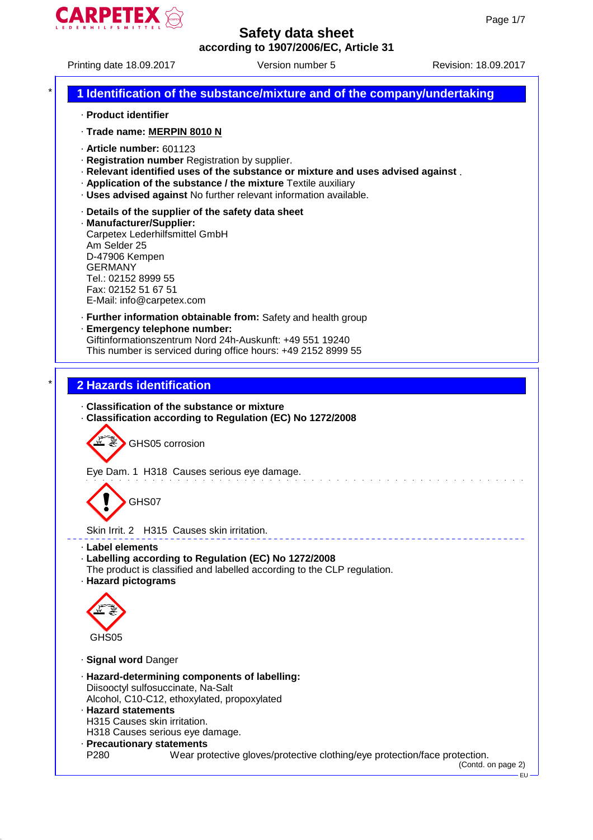

# Printing date 18.09.2017 Version number 5 Revision: 18.09.2017 \* **1 Identification of the substance/mixture and of the company/undertaking** · **Product identifier** · **Trade name: MERPIN 8010 N** · **Article number:** 601123 · **Registration number** Registration by supplier. · **Relevant identified uses of the substance or mixture and uses advised against** . · **Application of the substance / the mixture** Textile auxiliary · **Uses advised against** No further relevant information available. · **Details of the supplier of the safety data sheet** · **Manufacturer/Supplier:** Carpetex Lederhilfsmittel GmbH Am Selder 25 D-47906 Kempen GERMANY Tel.: 02152 8999 55 Fax: 02152 51 67 51 E-Mail: info@carpetex.com · **Further information obtainable from:** Safety and health group · **Emergency telephone number:** Giftinformationszentrum Nord 24h-Auskunft: +49 551 19240 This number is serviced during office hours: +49 2152 8999 55 \* **2 Hazards identification** · **Classification of the substance or mixture** · **Classification according to Regulation (EC) No 1272/2008** ₫ GHS05 corrosion Eye Dam. 1 H318 Causes serious eye damage. GHS07 Skin Irrit. 2 H315 Causes skin irritation. · **Label elements** · **Labelling according to Regulation (EC) No 1272/2008** The product is classified and labelled according to the CLP regulation. · **Hazard pictograms** GHS05 · **Signal word** Danger · **Hazard-determining components of labelling:** Diisooctyl sulfosuccinate, Na-Salt Alcohol, C10-C12, ethoxylated, propoxylated · **Hazard statements** H315 Causes skin irritation. H318 Causes serious eye damage. · **Precautionary statements** P280 Wear protective gloves/protective clothing/eye protection/face protection. (Contd. on page 2) EU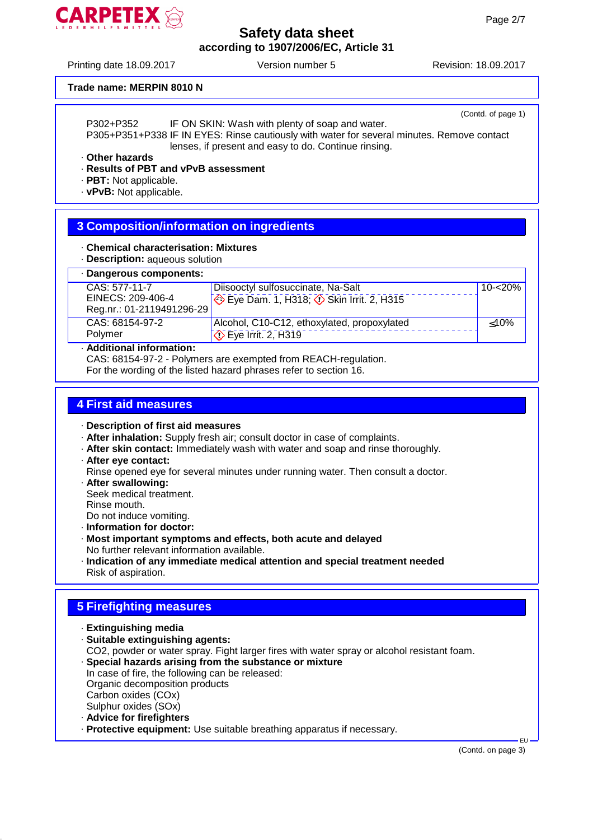

Printing date 18.09.2017 Version number 5 Revision: 18.09.2017

#### **Trade name: MERPIN 8010 N**

(Contd. of page 1) P302+P352 IF ON SKIN: Wash with plenty of soap and water. P305+P351+P338 IF IN EYES: Rinse cautiously with water for several minutes. Remove contact lenses, if present and easy to do. Continue rinsing.

· **Other hazards**

#### · **Results of PBT and vPvB assessment**

· **PBT:** Not applicable.

· **vPvB:** Not applicable.

# **3 Composition/information on ingredients**

- · **Chemical characterisation: Mixtures**
- · **Description:** aqueous solution

## · **Dangerous components:**

| CAS: 577-11-7             | Diisooctyl sulfosuccinate, Na-Salt                                        | $10 - 20\%$ |
|---------------------------|---------------------------------------------------------------------------|-------------|
| EINECS: 209-406-4         | $\leftrightarrow$ Eye Dam. 1, H318; $\leftrightarrow$ Skin Irrit. 2, H315 |             |
| Reg.nr.: 01-2119491296-29 |                                                                           |             |
| CAS: 68154-97-2           | Alcohol, C10-C12, ethoxylated, propoxylated                               | < 10%       |
| Polymer                   | $\Diamond$ Eye Irrit. 2, H319                                             |             |
|                           |                                                                           |             |

### · **Additional information:**

CAS: 68154-97-2 - Polymers are exempted from REACH-regulation.

For the wording of the listed hazard phrases refer to section 16.

# **4 First aid measures**

#### · **Description of first aid measures**

- · **After inhalation:** Supply fresh air; consult doctor in case of complaints.
- · **After skin contact:** Immediately wash with water and soap and rinse thoroughly.
- · **After eye contact:**

Rinse opened eye for several minutes under running water. Then consult a doctor.

· **After swallowing:**

Seek medical treatment. Rinse mouth.

Do not induce vomiting. · **Information for doctor:**

- · **Most important symptoms and effects, both acute and delayed** No further relevant information available.
- · **Indication of any immediate medical attention and special treatment needed** Risk of aspiration.

# **5 Firefighting measures**

- · **Extinguishing media**
- · **Suitable extinguishing agents:**
	- CO2, powder or water spray. Fight larger fires with water spray or alcohol resistant foam.
- · **Special hazards arising from the substance or mixture** In case of fire, the following can be released:
- Organic decomposition products Carbon oxides (COx)
- Sulphur oxides (SOx)
- · **Advice for firefighters**
- · **Protective equipment:** Use suitable breathing apparatus if necessary.

EU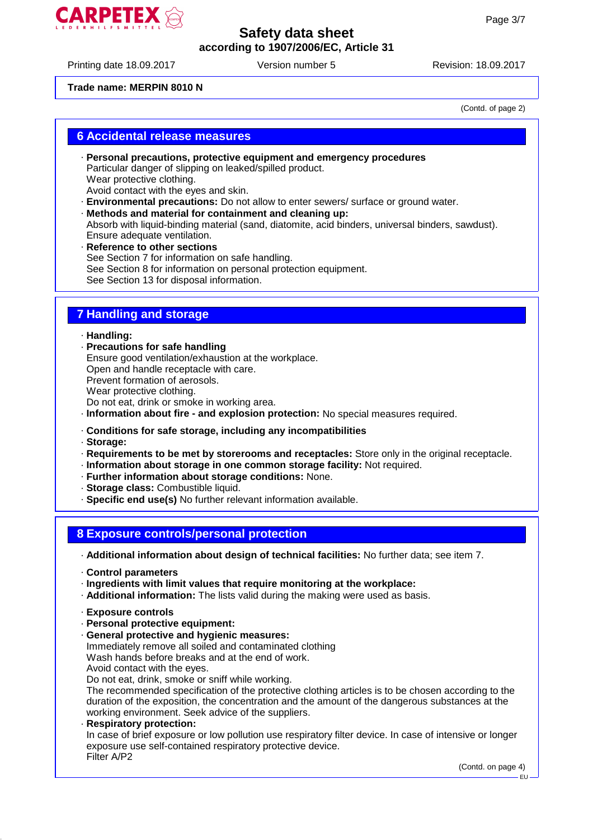

Printing date 18.09.2017 Version number 5 Revision: 18.09.2017

#### **Trade name: MERPIN 8010 N**

(Contd. of page 2)

## **6 Accidental release measures**

- · **Personal precautions, protective equipment and emergency procedures** Particular danger of slipping on leaked/spilled product. Wear protective clothing. Avoid contact with the eyes and skin.
- · **Environmental precautions:** Do not allow to enter sewers/ surface or ground water.
- · **Methods and material for containment and cleaning up:** Absorb with liquid-binding material (sand, diatomite, acid binders, universal binders, sawdust). Ensure adequate ventilation.
- · **Reference to other sections** See Section 7 for information on safe handling. See Section 8 for information on personal protection equipment. See Section 13 for disposal information.

# **7 Handling and storage**

· **Handling:**

- · **Precautions for safe handling** Ensure good ventilation/exhaustion at the workplace. Open and handle receptacle with care. Prevent formation of aerosols. Wear protective clothing. Do not eat, drink or smoke in working area.
- · **Information about fire and explosion protection:** No special measures required.

#### · **Conditions for safe storage, including any incompatibilities**

- · **Storage:**
- · **Requirements to be met by storerooms and receptacles:** Store only in the original receptacle.
- · **Information about storage in one common storage facility:** Not required.
- · **Further information about storage conditions:** None.
- · **Storage class:** Combustible liquid.
- · **Specific end use(s)** No further relevant information available.

#### **8 Exposure controls/personal protection**

· **Additional information about design of technical facilities:** No further data; see item 7.

- · **Control parameters**
- · **Ingredients with limit values that require monitoring at the workplace:**
- · **Additional information:** The lists valid during the making were used as basis.
- · **Exposure controls**
- · **Personal protective equipment:**
- · **General protective and hygienic measures:** Immediately remove all soiled and contaminated clothing Wash hands before breaks and at the end of work. Avoid contact with the eyes.

Do not eat, drink, smoke or sniff while working.

The recommended specification of the protective clothing articles is to be chosen according to the duration of the exposition, the concentration and the amount of the dangerous substances at the working environment. Seek advice of the suppliers.

· **Respiratory protection:** In case of brief exposure or low pollution use respiratory filter device. In case of intensive or longer exposure use self-contained respiratory protective device. Filter A/P2

(Contd. on page 4)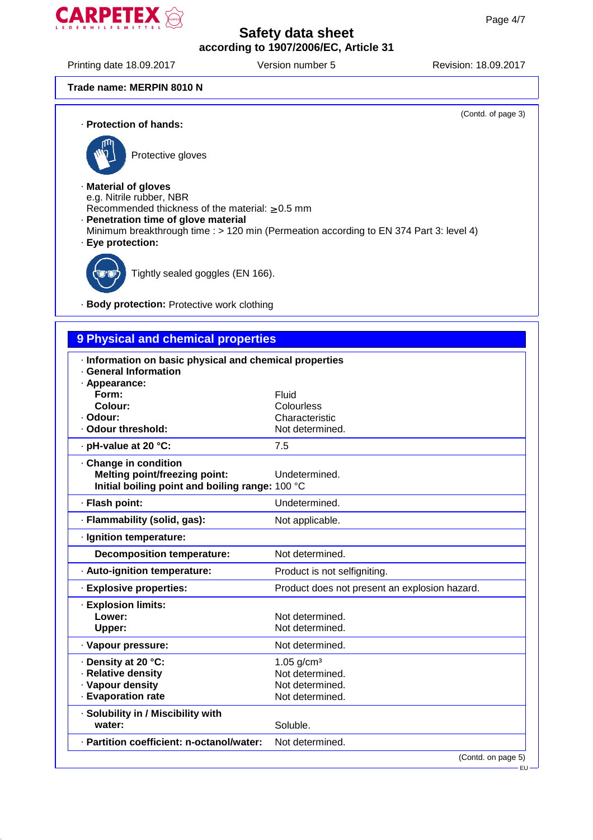

Printing date 18.09.2017 Version number 5 Revision: 18.09.2017

(Contd. of page 3)

#### **Trade name: MERPIN 8010 N**

· **Protection of hands:**



Protective gloves

· **Material of gloves** e.g. Nitrile rubber, NBR

Recommended thickness of the material:  $\geq 0.5$  mm

- · **Penetration time of glove material**
- Minimum breakthrough time : > 120 min (Permeation according to EN 374 Part 3: level 4)



Tightly sealed goggles (EN 166).

· **Body protection:** Protective work clothing

# **9 Physical and chemical properties**

| · Information on basic physical and chemical properties<br><b>General Information</b><br>· Appearance:<br>Form:<br>Colour:<br>· Odour:<br>· Odour threshold: | Fluid<br>Colourless<br>Characteristic<br>Not determined.                 |
|--------------------------------------------------------------------------------------------------------------------------------------------------------------|--------------------------------------------------------------------------|
| · pH-value at 20 °C:                                                                                                                                         | 7.5                                                                      |
| Change in condition<br><b>Melting point/freezing point:</b><br>Initial boiling point and boiling range: 100 °C                                               | Undetermined.                                                            |
| · Flash point:                                                                                                                                               | Undetermined.                                                            |
| · Flammability (solid, gas):                                                                                                                                 | Not applicable.                                                          |
| · Ignition temperature:                                                                                                                                      |                                                                          |
| <b>Decomposition temperature:</b>                                                                                                                            | Not determined.                                                          |
| · Auto-ignition temperature:                                                                                                                                 | Product is not selfigniting.                                             |
| · Explosive properties:                                                                                                                                      | Product does not present an explosion hazard.                            |
| · Explosion limits:<br>Lower:<br>Upper:                                                                                                                      | Not determined.<br>Not determined.                                       |
| · Vapour pressure:                                                                                                                                           | Not determined.                                                          |
| · Density at 20 °C:<br>· Relative density<br>· Vapour density<br>· Evaporation rate                                                                          | 1.05 $g/cm^{3}$<br>Not determined.<br>Not determined.<br>Not determined. |
| · Solubility in / Miscibility with<br>water:                                                                                                                 | Soluble.                                                                 |
| · Partition coefficient: n-octanol/water:                                                                                                                    | Not determined.                                                          |
|                                                                                                                                                              | (Contd. on page 5)                                                       |

EU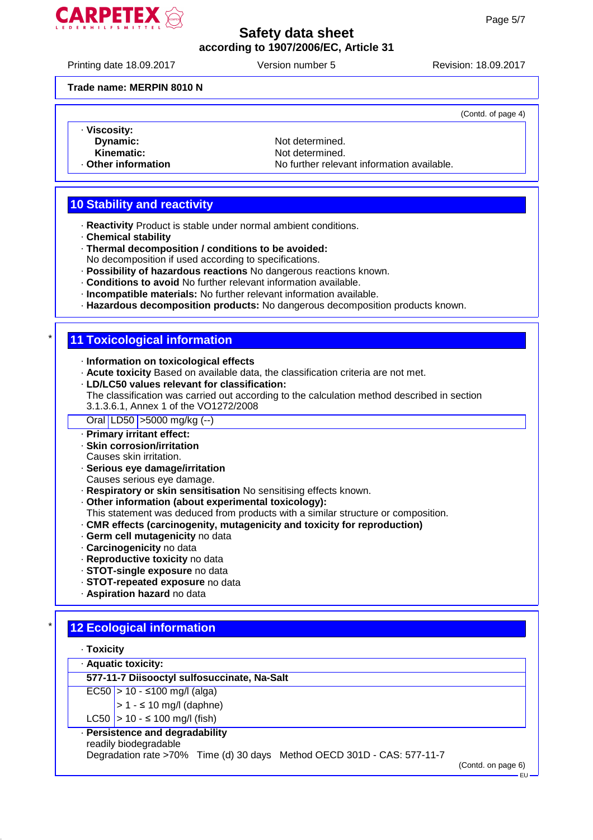

Printing date 18.09.2017 Version number 5 Revision: 18.09.2017

(Contd. of page 4)

#### **Trade name: MERPIN 8010 N**

- · **Viscosity:**
	-
	-
- 

**Dynamic:** Not determined.<br> **Kinematic:** Not determined. **Kinematic:** Not determined.<br> **Other information**<br>
No further relevant No further relevant information available.

# **10 Stability and reactivity**

- · **Reactivity** Product is stable under normal ambient conditions.
- · **Chemical stability**
- · **Thermal decomposition / conditions to be avoided:**
- No decomposition if used according to specifications.
- · **Possibility of hazardous reactions** No dangerous reactions known.
- · **Conditions to avoid** No further relevant information available.
- · **Incompatible materials:** No further relevant information available.
- · **Hazardous decomposition products:** No dangerous decomposition products known.

## **11 Toxicological information**

- · **Information on toxicological effects**
- · **Acute toxicity** Based on available data, the classification criteria are not met.
- · **LD/LC50 values relevant for classification:**
- The classification was carried out according to the calculation method described in section
- 3.1.3.6.1, Annex 1 of the VO1272/2008

Oral LD50 >5000 mg/kg (--)

- · **Primary irritant effect:**
- · **Skin corrosion/irritation**
- Causes skin irritation.
- · **Serious eye damage/irritation**
- Causes serious eye damage.
- · **Respiratory or skin sensitisation** No sensitising effects known.
- · **Other information (about experimental toxicology):**
- This statement was deduced from products with a similar structure or composition.
- · **CMR effects (carcinogenity, mutagenicity and toxicity for reproduction)**
- · **Germ cell mutagenicity** no data
- · **Carcinogenicity** no data
- · **Reproductive toxicity** no data
- · **STOT-single exposure** no data
- · **STOT-repeated exposure** no data
- · **Aspiration hazard** no data

# **12 Ecological information**

| Toxicity |  |
|----------|--|
|----------|--|

· **Aquatic toxicity:**

**577-11-7 Diisooctyl sulfosuccinate, Na-Salt**

 $EC50$  > 10 - ≤100 mg/l (alga)

- $> 1 510$  mg/l (daphne)
- LC50  $> 10 5100$  mg/l (fish)
- · **Persistence and degradability**
- readily biodegradable

Degradation rate >70% Time (d) 30 days Method OECD 301D - CAS: 577-11-7

(Contd. on page 6)

EU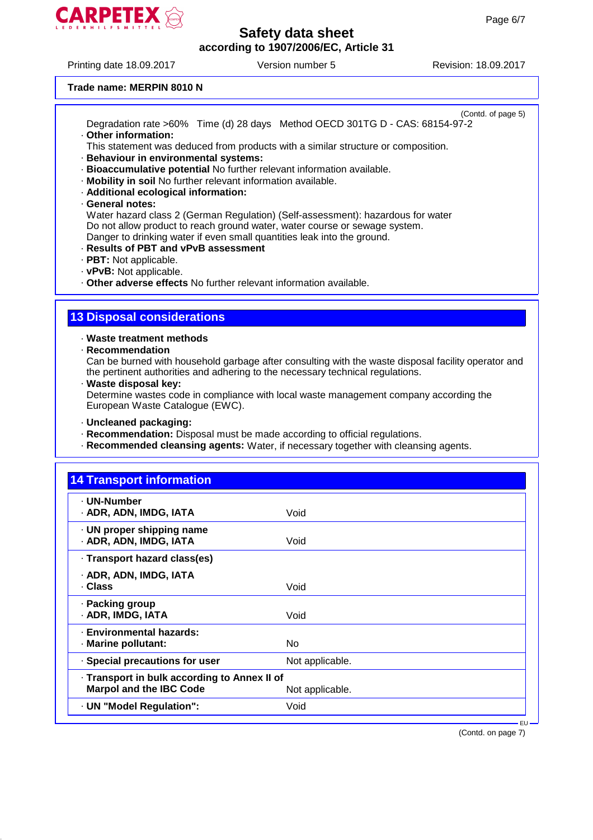

Printing date 18.09.2017 Version number 5 Revision: 18.09.2017

#### **Trade name: MERPIN 8010 N**

(Contd. of page 5) Degradation rate >60% Time (d) 28 days Method OECD 301TG D - CAS: 68154-97-2 · **Other information:**

This statement was deduced from products with a similar structure or composition.

- · **Behaviour in environmental systems:**
- · **Bioaccumulative potential** No further relevant information available.
- · **Mobility in soil** No further relevant information available.
- · **Additional ecological information:**
- · **General notes:**

Water hazard class 2 (German Regulation) (Self-assessment): hazardous for water Do not allow product to reach ground water, water course or sewage system. Danger to drinking water if even small quantities leak into the ground.

- · **Results of PBT and vPvB assessment**
- · **PBT:** Not applicable.
- · **vPvB:** Not applicable.

· **Other adverse effects** No further relevant information available.

## **13 Disposal considerations**

· **Waste treatment methods**

· **Recommendation**

Can be burned with household garbage after consulting with the waste disposal facility operator and the pertinent authorities and adhering to the necessary technical regulations.

· **Waste disposal key:**

Determine wastes code in compliance with local waste management company according the European Waste Catalogue (EWC).

- · **Uncleaned packaging:**
- · **Recommendation:** Disposal must be made according to official regulations.
- · **Recommended cleansing agents:** Water, if necessary together with cleansing agents.

| <b>14 Transport information</b>                     |                 |  |
|-----------------------------------------------------|-----------------|--|
| · UN-Number<br>· ADR, ADN, IMDG, IATA               | Void            |  |
| · UN proper shipping name<br>· ADR, ADN, IMDG, IATA | Void            |  |
| · Transport hazard class(es)                        |                 |  |
| · ADR, ADN, IMDG, IATA<br>. Class                   | Void            |  |
| · Packing group<br>· ADR, IMDG, IATA                | Void            |  |
| · Environmental hazards:<br>· Marine pollutant:     | No.             |  |
| · Special precautions for user                      | Not applicable. |  |
| · Transport in bulk according to Annex II of        |                 |  |
| <b>Marpol and the IBC Code</b>                      | Not applicable. |  |
| · UN "Model Regulation":                            | Void            |  |

(Contd. on page 7)